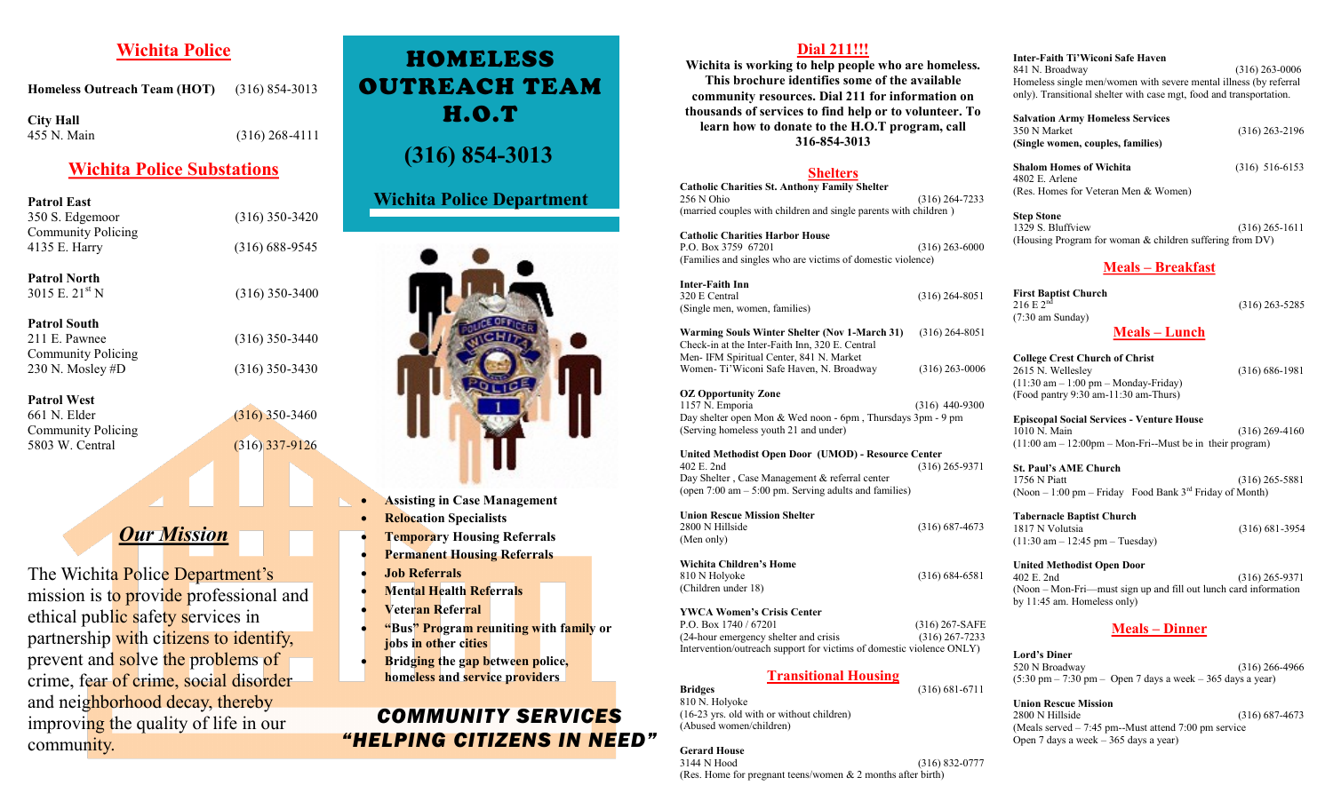# **Wichita Police**

**Homeless Outreach Team (HOT)** (316) 854-3013

**City Hall** 455 N. Main (316) 268-4111

# **Wichita Police Substations**

**Patrol East** 350 S. Edgemoor (316) 350-3420 Community Policing 4135 E. Harry (316) 688-9545

**Patrol North**  $3015$  E.  $21^{\text{st}}$  N (316) 350-3400

**Patrol South** 211 E. Pawnee (316) 350-3440 Community Policing 230 N. Mosley #D (316) 350-3430

**Patrol West** 661 N. Elder (316) 350-3460 Community Policing 5803 W. Central (316) 337-9126

# *Our Mission*

The Wichita Police Department's mission is to provide professional and ethical public safety services in partnership with citizens to identify, prevent and solve the problems of crime, fear of crime, social disorder and neighborhood decay, thereby improving the quality of life in our community.

# HOMELESS OUTREACH TEAM H.O.T

# **(316) 854-3013**

## **Wichita Police Department**



- **Assisting in Case Management**
- **Relocation Specialists**
- **Temporary Housing Referrals**
- **Permanent Housing Referrals**
- **Job Referrals**
- **Mental Health Referrals**
- **Veteran Referral**
- **"Bus" Program reuniting with family or jobs in other cities**
- **Bridging the gap between police, homeless and service providers**

# *COMMUNITY SERVICES "HELPING CITIZENS IN NEED"*

## **Dial 211!!!**

**Wichita is working to help people who are homeless. This brochure identifies some of the available community resources. Dial 211 for information on thousands of services to find help or to volunteer. To learn how to donate to the H.O.T program, call 316-854-3013**

#### **Shelters**

**Catholic Charities St. Anthony Family Shelter**  $(316)$  264-7233 (married couples with children and single parents with children )

**Catholic Charities Harbor House** P.O. Box 3759 67201 (316) 263-6000 (Families and singles who are victims of domestic violence)

**Inter-Faith Inn** 320 E Central (316) 264-8051 (Single men, women, families)

**Warming Souls Winter Shelter (Nov 1-March 31)** (316) 264-8051 Check-in at the Inter-Faith Inn, 320 E. Central Men- IFM Spiritual Center, 841 N. Market Women- Ti'Wiconi Safe Haven, N. Broadway (316) 263-0006

**OZ Opportunity Zone** 1157 N. Emporia (316) 440-9300 Day shelter open Mon & Wed noon - 6pm , Thursdays 3pm - 9 pm (Serving homeless youth 21 and under)

**United Methodist Open Door (UMOD) - Resource Center** 402 E. 2nd (316) 265-9371 Day Shelter , Case Management & referral center (open 7:00 am – 5:00 pm. Serving adults and families)

**Union Rescue Mission Shelter** 2800 N Hillside (316) 687-4673 (Men only)

**Wichita Children's Home** 810 N Holyoke (316) 684-6581 (Children under 18)

**YWCA Women's Crisis Center**  P.O. Box 1740 / 67201 (316) 267-SAFE (24-hour emergency shelter and crisis (316) 267-7233 Intervention/outreach support for victims of domestic violence ONLY)

## **Transitional Housing**

**Bridges** (316) 681-6711 810 N. Holyoke (16-23 yrs. old with or without children) (Abused women/children)

**Gerard House** 3144 N Hood (316) 832-0777 (Res. Home for pregnant teens/women & 2 months after birth)

# **Inter-Faith Ti'Wiconi Safe Haven**

 $(316)$  263-0006 Homeless single men/women with severe mental illness (by referral only). Transitional shelter with case mgt, food and transportation.

**Salvation Army Homeless Services**  $(316)$  263-2196 **(Single women, couples, families)**

**Shalom Homes of Wichita** (316) 516-6153 4802 E. Arlene (Res. Homes for Veteran Men & Women)

**Step Stone** 1329 S. Bluffview (316) 265-1611 (Housing Program for woman & children suffering from DV)

## **Meals – Breakfast**

**First Baptist Church** 216 E 2<sup>nd</sup> (316) 263-5285 (7:30 am Sunday)

**Meals – Lunch**

**College Crest Church of Christ** 2615 N. Wellesley (316) 686-1981 (11:30 am – 1:00 pm – Monday-Friday) (Food pantry 9:30 am-11:30 am-Thurs)

**Episcopal Social Services - Venture House** 1010 N. Main (316) 269-4160  $(11:00 \text{ am} - 12:00 \text{ pm} - \text{Mon-Fri} - \text{Must}$  be in their program)

**St. Paul's AME Church** 1756 N Piatt (316) 265-5881 (Noon – 1:00 pm – Friday Food Bank  $3<sup>rd</sup>$  Friday of Month)

**Tabernacle Baptist Church** 1817 N Volutsia (316) 681-3954 (11:30 am – 12:45 pm – Tuesday)

**United Methodist Open Door** 402 E. 2nd (316) 265-9371 (Noon – Mon-Fri—must sign up and fill out lunch card information by 11:45 am. Homeless only)

## **Meals – Dinner**

**Lord's Diner** 520 N Broadway (316) 266-4966  $(5.30 \text{ pm} - 7.30 \text{ pm} - \text{Open 7 days a week} - 365 \text{ days a year})$ 

**Union Rescue Mission** 2800 N Hillside (316) 687-4673 (Meals served – 7:45 pm--Must attend 7:00 pm service Open 7 days a week – 365 days a year)